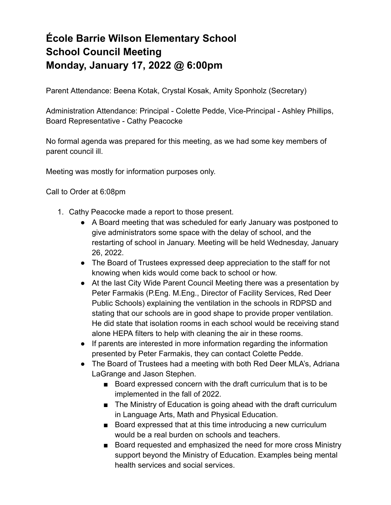## **École Barrie Wilson Elementary School School Council Meeting Monday, January 17, 2022 @ 6:00pm**

Parent Attendance: Beena Kotak, Crystal Kosak, Amity Sponholz (Secretary)

Administration Attendance: Principal - Colette Pedde, Vice-Principal - Ashley Phillips, Board Representative - Cathy Peacocke

No formal agenda was prepared for this meeting, as we had some key members of parent council ill.

Meeting was mostly for information purposes only.

Call to Order at 6:08pm

- 1. Cathy Peacocke made a report to those present.
	- A Board meeting that was scheduled for early January was postponed to give administrators some space with the delay of school, and the restarting of school in January. Meeting will be held Wednesday, January 26, 2022.
	- The Board of Trustees expressed deep appreciation to the staff for not knowing when kids would come back to school or how.
	- At the last City Wide Parent Council Meeting there was a presentation by Peter Farmakis (P.Eng. M.Eng., Director of Facility Services, Red Deer Public Schools) explaining the ventilation in the schools in RDPSD and stating that our schools are in good shape to provide proper ventilation. He did state that isolation rooms in each school would be receiving stand alone HEPA filters to help with cleaning the air in these rooms.
	- If parents are interested in more information regarding the information presented by Peter Farmakis, they can contact Colette Pedde.
	- The Board of Trustees had a meeting with both Red Deer MLA's, Adriana LaGrange and Jason Stephen.
		- Board expressed concern with the draft curriculum that is to be implemented in the fall of 2022.
		- The Ministry of Education is going ahead with the draft curriculum in Language Arts, Math and Physical Education.
		- Board expressed that at this time introducing a new curriculum would be a real burden on schools and teachers.
		- Board requested and emphasized the need for more cross Ministry support beyond the Ministry of Education. Examples being mental health services and social services.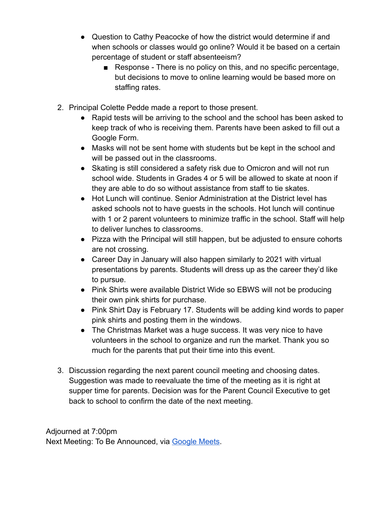- Question to Cathy Peacocke of how the district would determine if and when schools or classes would go online? Would it be based on a certain percentage of student or staff absenteeism?
	- Response There is no policy on this, and no specific percentage, but decisions to move to online learning would be based more on staffing rates.
- 2. Principal Colette Pedde made a report to those present.
	- Rapid tests will be arriving to the school and the school has been asked to keep track of who is receiving them. Parents have been asked to fill out a Google Form.
	- Masks will not be sent home with students but be kept in the school and will be passed out in the classrooms.
	- Skating is still considered a safety risk due to Omicron and will not run school wide. Students in Grades 4 or 5 will be allowed to skate at noon if they are able to do so without assistance from staff to tie skates.
	- Hot Lunch will continue. Senior Administration at the District level has asked schools not to have guests in the schools. Hot lunch will continue with 1 or 2 parent volunteers to minimize traffic in the school. Staff will help to deliver lunches to classrooms.
	- Pizza with the Principal will still happen, but be adjusted to ensure cohorts are not crossing.
	- Career Day in January will also happen similarly to 2021 with virtual presentations by parents. Students will dress up as the career they'd like to pursue.
	- Pink Shirts were available District Wide so EBWS will not be producing their own pink shirts for purchase.
	- Pink Shirt Day is February 17. Students will be adding kind words to paper pink shirts and posting them in the windows.
	- The Christmas Market was a huge success. It was very nice to have volunteers in the school to organize and run the market. Thank you so much for the parents that put their time into this event.
- 3. Discussion regarding the next parent council meeting and choosing dates. Suggestion was made to reevaluate the time of the meeting as it is right at supper time for parents. Decision was for the Parent Council Executive to get back to school to confirm the date of the next meeting.

Adjourned at 7:00pm Next Meeting: To Be Announced, via [Google Meets](http://meet.google.com/ehn-nuky-erb).